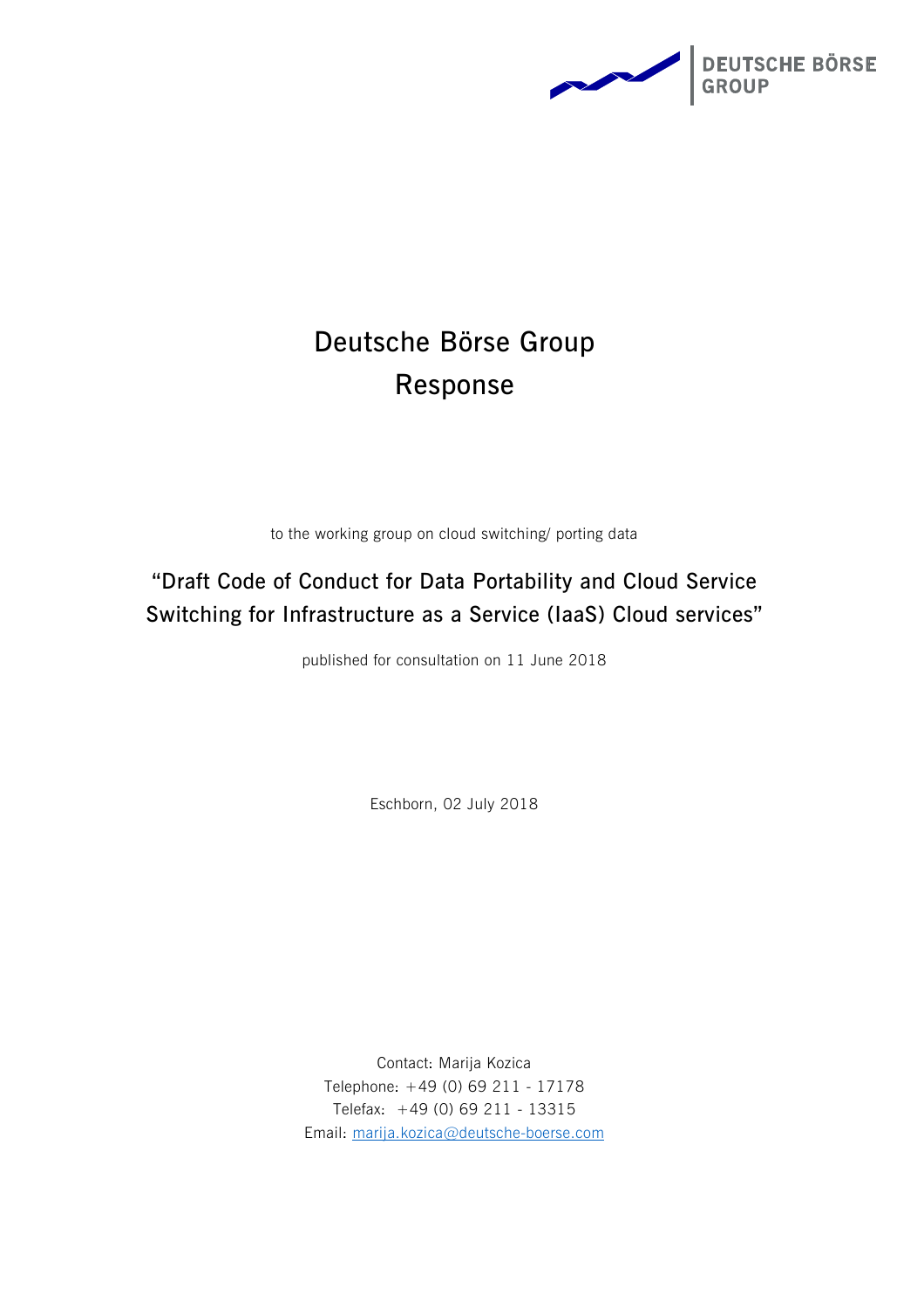

# **Deutsche Börse Group Response**

to the working group on cloud switching/ porting data

# **"Draft Code of Conduct for Data Portability and Cloud Service Switching for Infrastructure as a Service (IaaS) Cloud services"**

published for consultation on 11 June 2018

Eschborn, 02 July 2018

Contact: Marija Kozica Telephone: +49 (0) 69 211 - 17178 Telefax: +49 (0) 69 211 - 13315 Email: [marija.kozica@deutsche-boerse.com](mailto:marija.kozica@deutsche-boerse.com)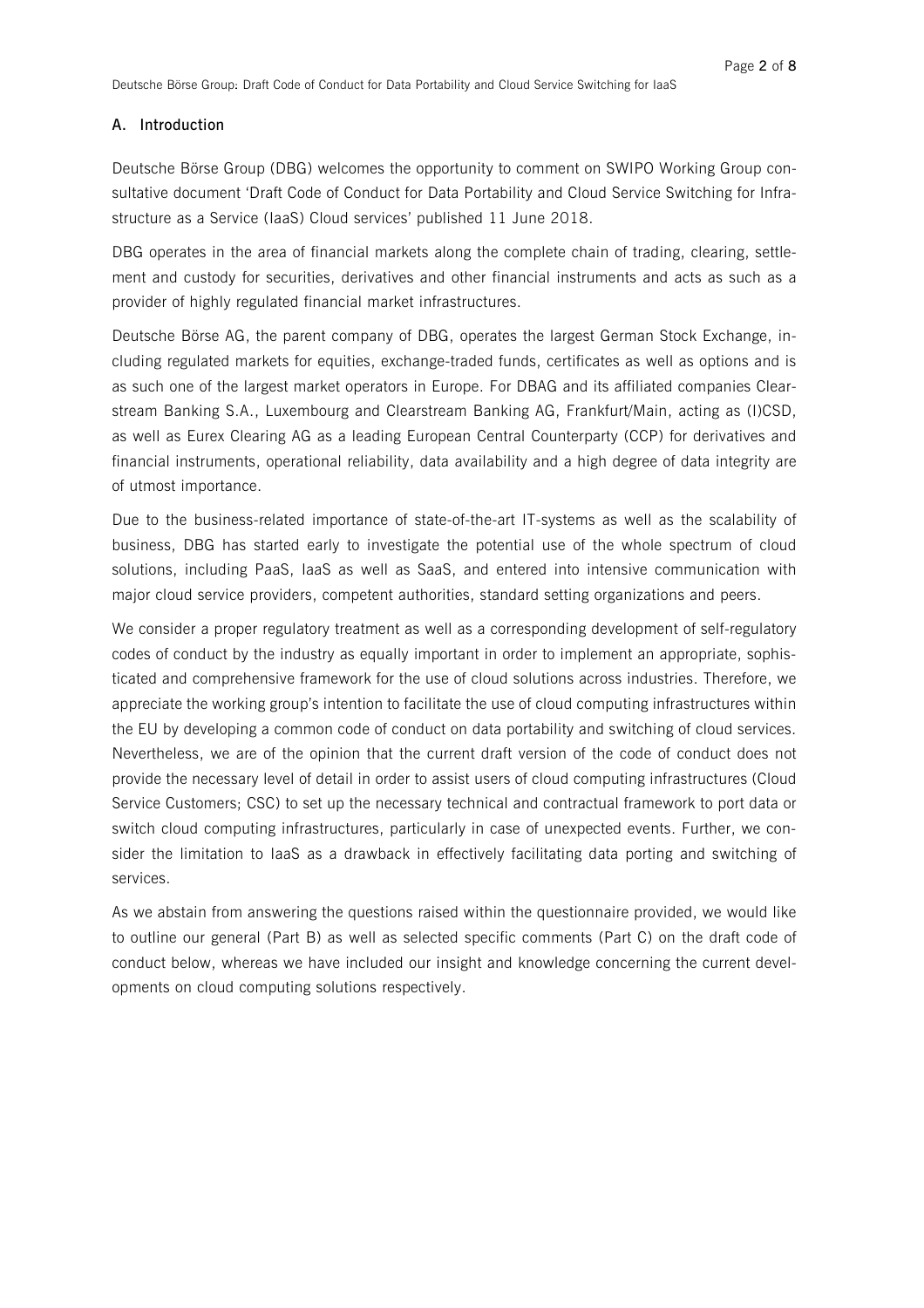# **A. Introduction**

Deutsche Börse Group (DBG) welcomes the opportunity to comment on SWIPO Working Group consultative document 'Draft Code of Conduct for Data Portability and Cloud Service Switching for Infrastructure as a Service (IaaS) Cloud services' published 11 June 2018.

DBG operates in the area of financial markets along the complete chain of trading, clearing, settlement and custody for securities, derivatives and other financial instruments and acts as such as a provider of highly regulated financial market infrastructures.

Deutsche Börse AG, the parent company of DBG, operates the largest German Stock Exchange, including regulated markets for equities, exchange-traded funds, certificates as well as options and is as such one of the largest market operators in Europe. For DBAG and its affiliated companies Clearstream Banking S.A., Luxembourg and Clearstream Banking AG, Frankfurt/Main, acting as (I)CSD, as well as Eurex Clearing AG as a leading European Central Counterparty (CCP) for derivatives and financial instruments, operational reliability, data availability and a high degree of data integrity are of utmost importance.

Due to the business-related importance of state-of-the-art IT-systems as well as the scalability of business, DBG has started early to investigate the potential use of the whole spectrum of cloud solutions, including PaaS, IaaS as well as SaaS, and entered into intensive communication with major cloud service providers, competent authorities, standard setting organizations and peers.

We consider a proper regulatory treatment as well as a corresponding development of self-regulatory codes of conduct by the industry as equally important in order to implement an appropriate, sophisticated and comprehensive framework for the use of cloud solutions across industries. Therefore, we appreciate the working group's intention to facilitate the use of cloud computing infrastructures within the EU by developing a common code of conduct on data portability and switching of cloud services. Nevertheless, we are of the opinion that the current draft version of the code of conduct does not provide the necessary level of detail in order to assist users of cloud computing infrastructures (Cloud Service Customers; CSC) to set up the necessary technical and contractual framework to port data or switch cloud computing infrastructures, particularly in case of unexpected events. Further, we consider the limitation to IaaS as a drawback in effectively facilitating data porting and switching of services.

As we abstain from answering the questions raised within the questionnaire provided, we would like to outline our general (Part B) as well as selected specific comments (Part C) on the draft code of conduct below, whereas we have included our insight and knowledge concerning the current developments on cloud computing solutions respectively.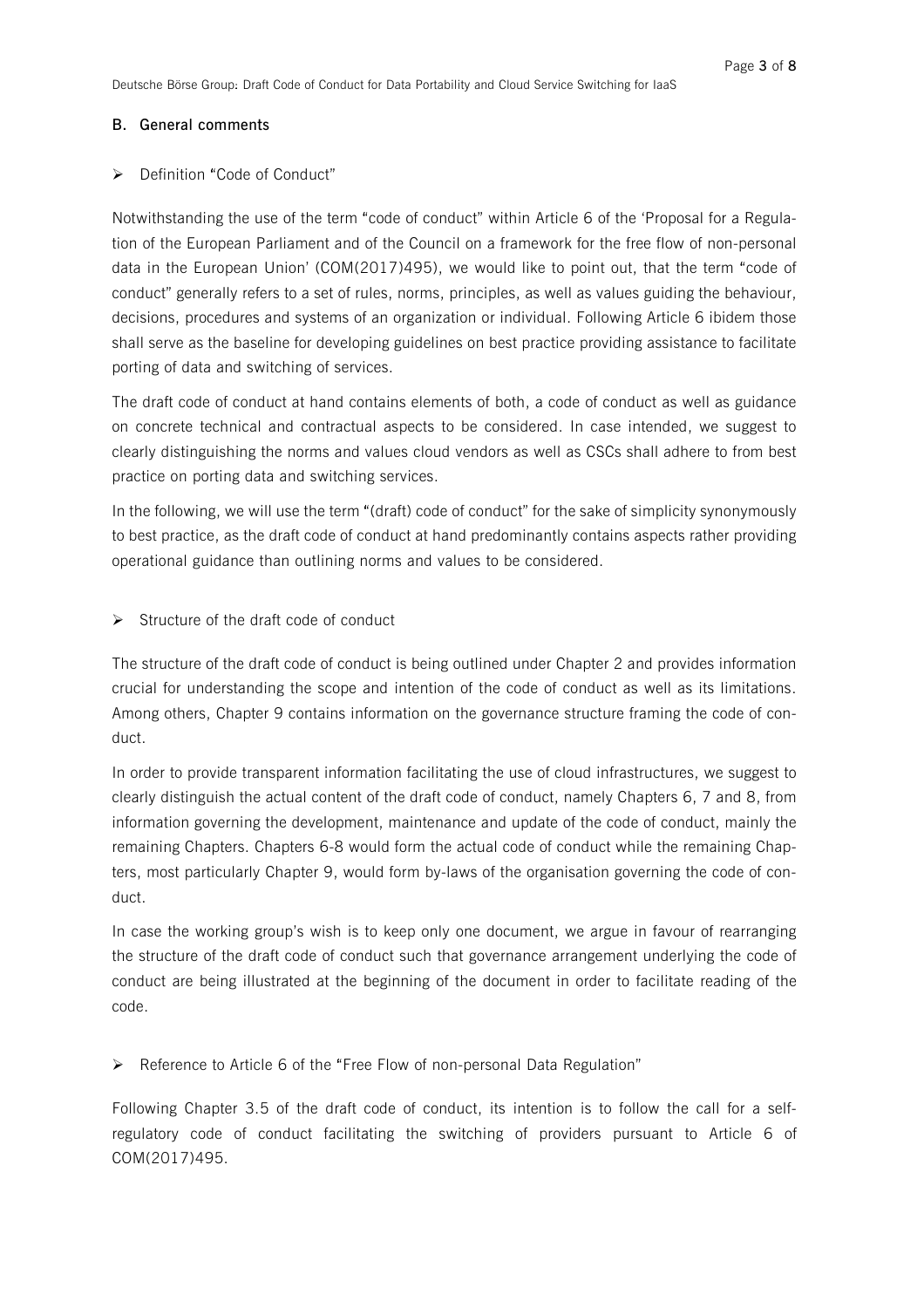# **B. General comments**

# Definition "Code of Conduct"

Notwithstanding the use of the term "code of conduct" within Article 6 of the 'Proposal for a Regulation of the European Parliament and of the Council on a framework for the free flow of non-personal data in the European Union' (COM(2017)495), we would like to point out, that the term "code of conduct" generally refers to a set of rules, norms, principles, as well as values guiding the behaviour, decisions, procedures and systems of an organization or individual. Following Article 6 ibidem those shall serve as the baseline for developing guidelines on best practice providing assistance to facilitate porting of data and switching of services.

The draft code of conduct at hand contains elements of both, a code of conduct as well as guidance on concrete technical and contractual aspects to be considered. In case intended, we suggest to clearly distinguishing the norms and values cloud vendors as well as CSCs shall adhere to from best practice on porting data and switching services.

In the following, we will use the term "(draft) code of conduct" for the sake of simplicity synonymously to best practice, as the draft code of conduct at hand predominantly contains aspects rather providing operational guidance than outlining norms and values to be considered.

 $\triangleright$  Structure of the draft code of conduct

The structure of the draft code of conduct is being outlined under Chapter 2 and provides information crucial for understanding the scope and intention of the code of conduct as well as its limitations. Among others, Chapter 9 contains information on the governance structure framing the code of conduct.

In order to provide transparent information facilitating the use of cloud infrastructures, we suggest to clearly distinguish the actual content of the draft code of conduct, namely Chapters 6, 7 and 8, from information governing the development, maintenance and update of the code of conduct, mainly the remaining Chapters. Chapters 6-8 would form the actual code of conduct while the remaining Chapters, most particularly Chapter 9, would form by-laws of the organisation governing the code of conduct.

In case the working group's wish is to keep only one document, we argue in favour of rearranging the structure of the draft code of conduct such that governance arrangement underlying the code of conduct are being illustrated at the beginning of the document in order to facilitate reading of the code.

ÿ Reference to Article 6 of the "Free Flow of non-personal Data Regulation"

Following Chapter 3.5 of the draft code of conduct, its intention is to follow the call for a selfregulatory code of conduct facilitating the switching of providers pursuant to Article 6 of COM(2017)495.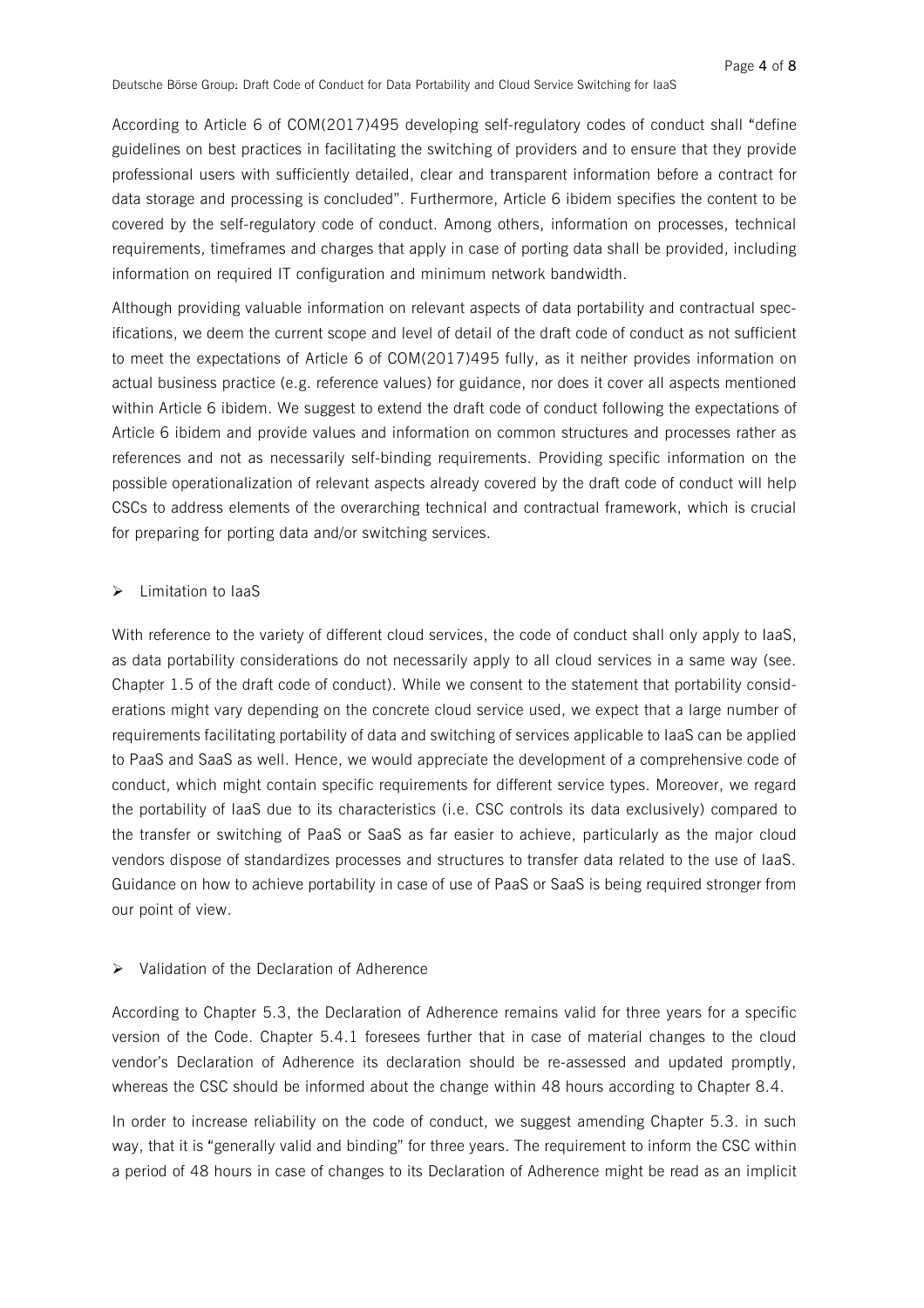According to Article 6 of COM(2017)495 developing self-regulatory codes of conduct shall "define guidelines on best practices in facilitating the switching of providers and to ensure that they provide professional users with sufficiently detailed, clear and transparent information before a contract for data storage and processing is concluded". Furthermore, Article 6 ibidem specifies the content to be covered by the self-regulatory code of conduct. Among others, information on processes, technical requirements, timeframes and charges that apply in case of porting data shall be provided, including information on required IT configuration and minimum network bandwidth.

Although providing valuable information on relevant aspects of data portability and contractual specifications, we deem the current scope and level of detail of the draft code of conduct as not sufficient to meet the expectations of Article 6 of COM(2017)495 fully, as it neither provides information on actual business practice (e.g. reference values) for guidance, nor does it cover all aspects mentioned within Article 6 ibidem. We suggest to extend the draft code of conduct following the expectations of Article 6 ibidem and provide values and information on common structures and processes rather as references and not as necessarily self-binding requirements. Providing specific information on the possible operationalization of relevant aspects already covered by the draft code of conduct will help CSCs to address elements of the overarching technical and contractual framework, which is crucial for preparing for porting data and/or switching services.

#### ÿ Limitation to IaaS

With reference to the variety of different cloud services, the code of conduct shall only apply to laaS, as data portability considerations do not necessarily apply to all cloud services in a same way (see. Chapter 1.5 of the draft code of conduct). While we consent to the statement that portability considerations might vary depending on the concrete cloud service used, we expect that a large number of requirements facilitating portability of data and switching of services applicable to IaaS can be applied to PaaS and SaaS as well. Hence, we would appreciate the development of a comprehensive code of conduct, which might contain specific requirements for different service types. Moreover, we regard the portability of IaaS due to its characteristics (i.e. CSC controls its data exclusively) compared to the transfer or switching of PaaS or SaaS as far easier to achieve, particularly as the major cloud vendors dispose of standardizes processes and structures to transfer data related to the use of IaaS. Guidance on how to achieve portability in case of use of PaaS or SaaS is being required stronger from our point of view.

#### $\triangleright$  Validation of the Declaration of Adherence

According to Chapter 5.3, the Declaration of Adherence remains valid for three years for a specific version of the Code. Chapter 5.4.1 foresees further that in case of material changes to the cloud vendor's Declaration of Adherence its declaration should be re-assessed and updated promptly, whereas the CSC should be informed about the change within 48 hours according to Chapter 8.4.

In order to increase reliability on the code of conduct, we suggest amending Chapter 5.3. in such way, that it is "generally valid and binding" for three years. The requirement to inform the CSC within a period of 48 hours in case of changes to its Declaration of Adherence might be read as an implicit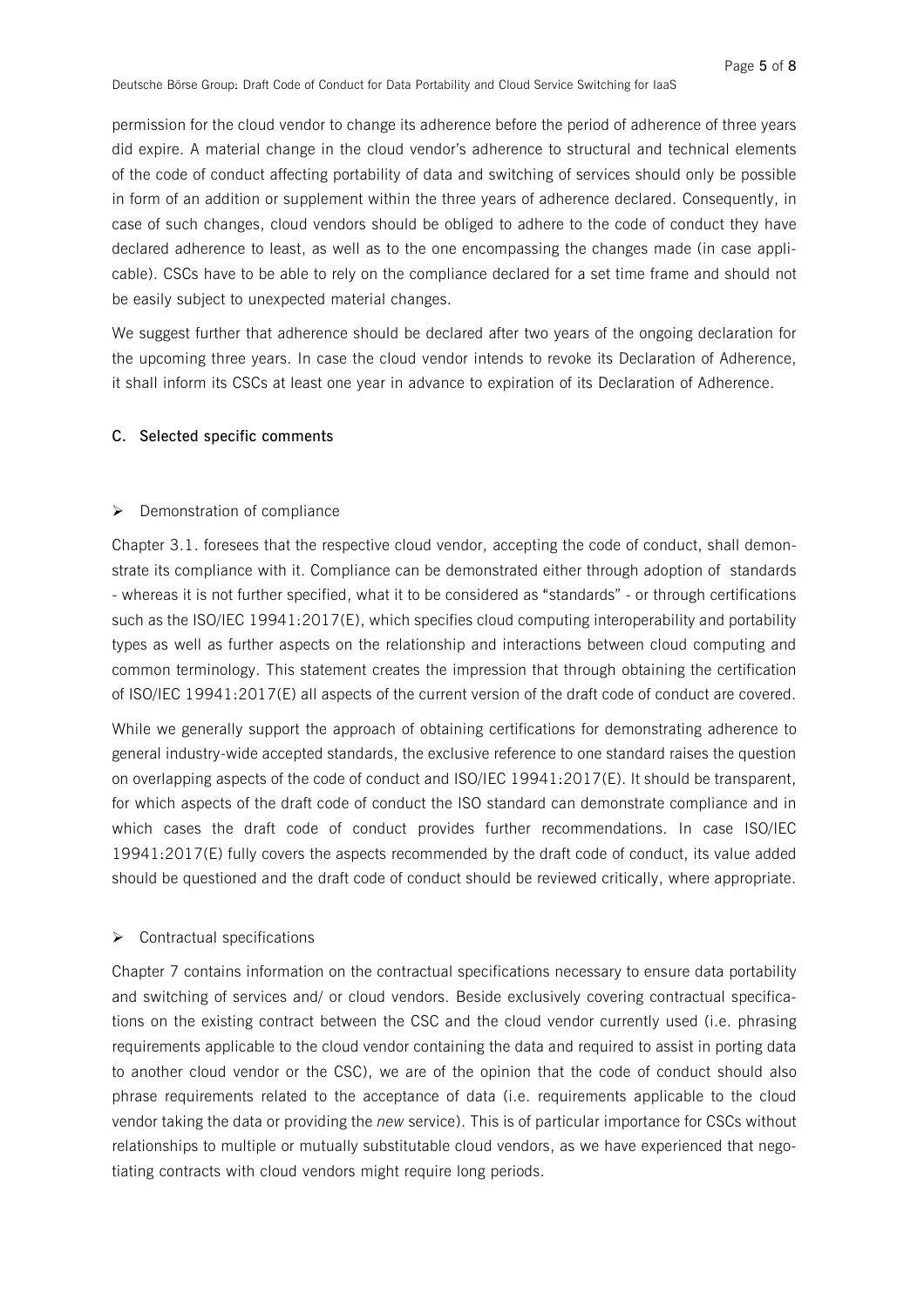permission for the cloud vendor to change its adherence before the period of adherence of three years did expire. A material change in the cloud vendor's adherence to structural and technical elements of the code of conduct affecting portability of data and switching of services should only be possible in form of an addition or supplement within the three years of adherence declared. Consequently, in case of such changes, cloud vendors should be obliged to adhere to the code of conduct they have declared adherence to least, as well as to the one encompassing the changes made (in case applicable). CSCs have to be able to rely on the compliance declared for a set time frame and should not be easily subject to unexpected material changes.

We suggest further that adherence should be declared after two years of the ongoing declaration for the upcoming three years. In case the cloud vendor intends to revoke its Declaration of Adherence, it shall inform its CSCs at least one year in advance to expiration of its Declaration of Adherence.

# **C. Selected specific comments**

# $\triangleright$  Demonstration of compliance

Chapter 3.1. foresees that the respective cloud vendor, accepting the code of conduct, shall demonstrate its compliance with it. Compliance can be demonstrated either through adoption of standards - whereas it is not further specified, what it to be considered as "standards" - or through certifications such as the ISO/IEC 19941:2017(E), which specifies cloud computing interoperability and portability types as well as further aspects on the relationship and interactions between cloud computing and common terminology. This statement creates the impression that through obtaining the certification of ISO/IEC 19941:2017(E) all aspects of the current version of the draft code of conduct are covered.

While we generally support the approach of obtaining certifications for demonstrating adherence to general industry-wide accepted standards, the exclusive reference to one standard raises the question on overlapping aspects of the code of conduct and ISO/IEC 19941:2017(E). It should be transparent, for which aspects of the draft code of conduct the ISO standard can demonstrate compliance and in which cases the draft code of conduct provides further recommendations. In case ISO/IEC 19941:2017(E) fully covers the aspects recommended by the draft code of conduct, its value added should be questioned and the draft code of conduct should be reviewed critically, where appropriate.

#### $\triangleright$  Contractual specifications

Chapter 7 contains information on the contractual specifications necessary to ensure data portability and switching of services and/ or cloud vendors. Beside exclusively covering contractual specifications on the existing contract between the CSC and the cloud vendor currently used (i.e. phrasing requirements applicable to the cloud vendor containing the data and required to assist in porting data to another cloud vendor or the CSC), we are of the opinion that the code of conduct should also phrase requirements related to the acceptance of data (i.e. requirements applicable to the cloud vendor taking the data or providing the *new* service). This is of particular importance for CSCs without relationships to multiple or mutually substitutable cloud vendors, as we have experienced that negotiating contracts with cloud vendors might require long periods.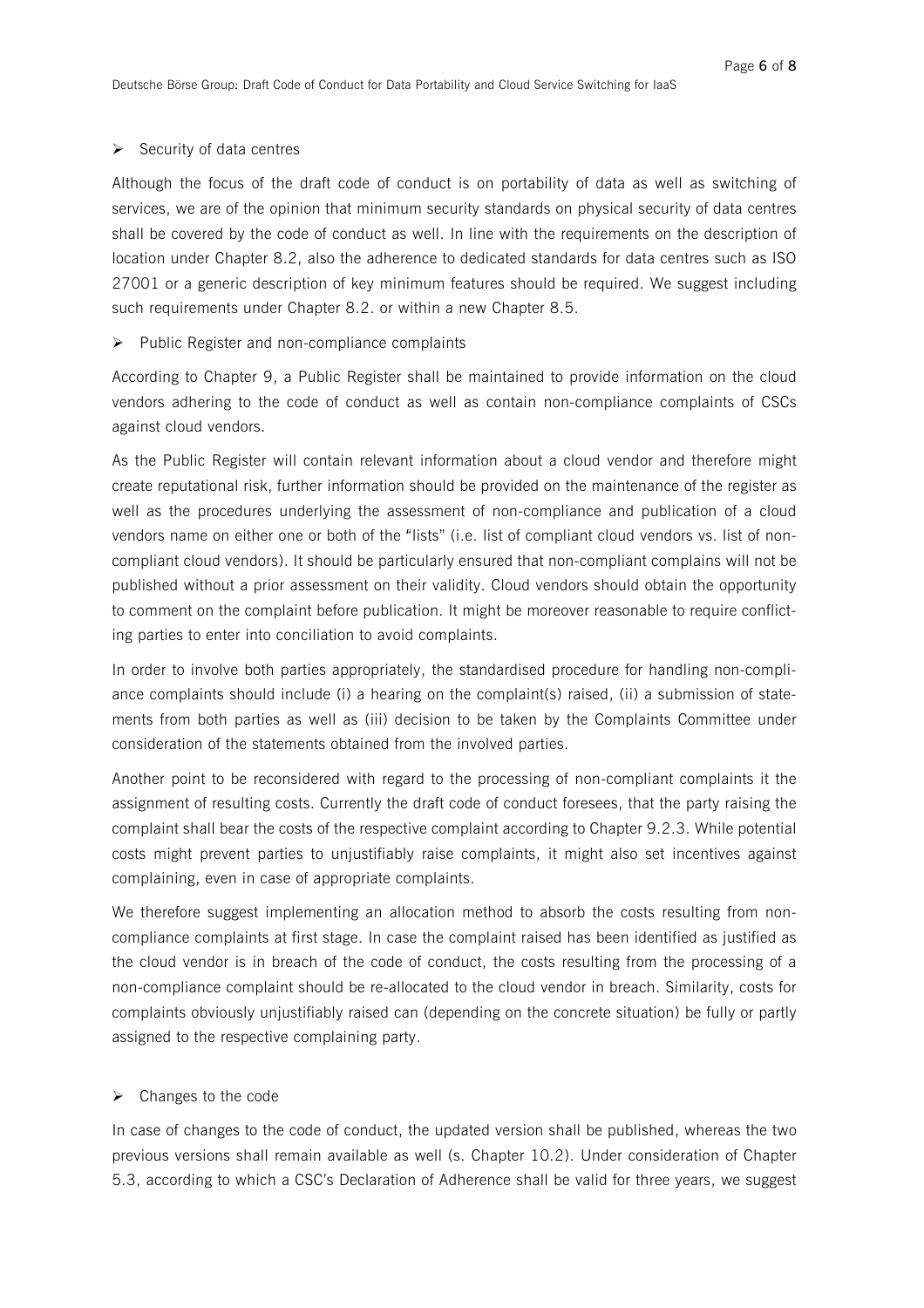#### $\triangleright$  Security of data centres

Although the focus of the draft code of conduct is on portability of data as well as switching of services, we are of the opinion that minimum security standards on physical security of data centres shall be covered by the code of conduct as well. In line with the requirements on the description of location under Chapter 8.2, also the adherence to dedicated standards for data centres such as ISO 27001 or a generic description of key minimum features should be required. We suggest including such requirements under Chapter 8.2. or within a new Chapter 8.5.

# $\triangleright$  Public Register and non-compliance complaints

According to Chapter 9, a Public Register shall be maintained to provide information on the cloud vendors adhering to the code of conduct as well as contain non-compliance complaints of CSCs against cloud vendors.

As the Public Register will contain relevant information about a cloud vendor and therefore might create reputational risk, further information should be provided on the maintenance of the register as well as the procedures underlying the assessment of non-compliance and publication of a cloud vendors name on either one or both of the "lists" (i.e. list of compliant cloud vendors vs. list of noncompliant cloud vendors). It should be particularly ensured that non-compliant complains will not be published without a prior assessment on their validity. Cloud vendors should obtain the opportunity to comment on the complaint before publication. It might be moreover reasonable to require conflicting parties to enter into conciliation to avoid complaints.

In order to involve both parties appropriately, the standardised procedure for handling non-compliance complaints should include (i) a hearing on the complaint(s) raised, (ii) a submission of statements from both parties as well as (iii) decision to be taken by the Complaints Committee under consideration of the statements obtained from the involved parties.

Another point to be reconsidered with regard to the processing of non-compliant complaints it the assignment of resulting costs. Currently the draft code of conduct foresees, that the party raising the complaint shall bear the costs of the respective complaint according to Chapter 9.2.3. While potential costs might prevent parties to unjustifiably raise complaints, it might also set incentives against complaining, even in case of appropriate complaints.

We therefore suggest implementing an allocation method to absorb the costs resulting from noncompliance complaints at first stage. In case the complaint raised has been identified as justified as the cloud vendor is in breach of the code of conduct, the costs resulting from the processing of a non-compliance complaint should be re-allocated to the cloud vendor in breach. Similarity, costs for complaints obviously unjustifiably raised can (depending on the concrete situation) be fully or partly assigned to the respective complaining party.

# $\triangleright$  Changes to the code

In case of changes to the code of conduct, the updated version shall be published, whereas the two previous versions shall remain available as well (s. Chapter 10.2). Under consideration of Chapter 5.3, according to which a CSC's Declaration of Adherence shall be valid for three years, we suggest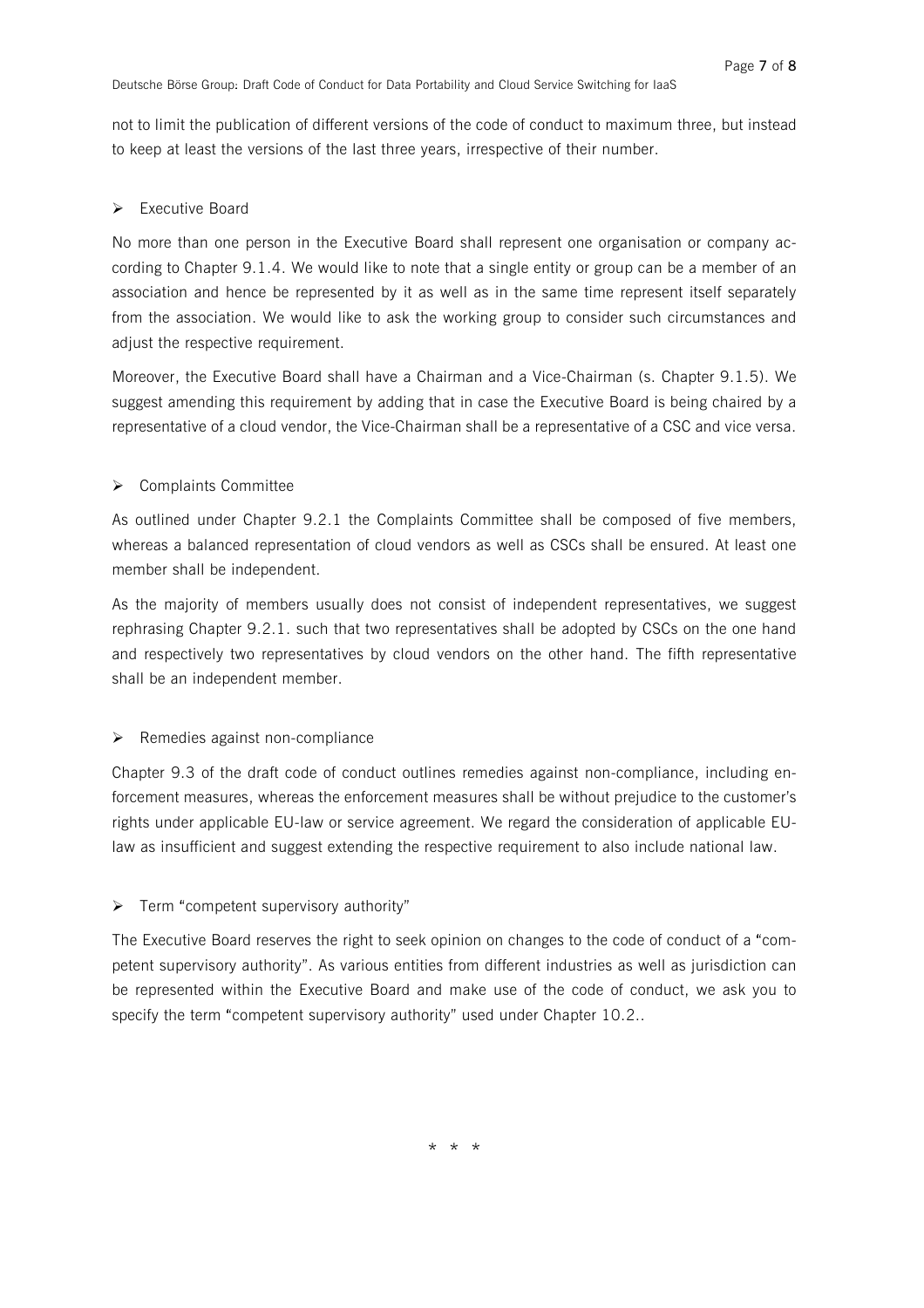not to limit the publication of different versions of the code of conduct to maximum three, but instead to keep at least the versions of the last three years, irrespective of their number.

# $\triangleright$  Executive Board

No more than one person in the Executive Board shall represent one organisation or company according to Chapter 9.1.4. We would like to note that a single entity or group can be a member of an association and hence be represented by it as well as in the same time represent itself separately from the association. We would like to ask the working group to consider such circumstances and adjust the respective requirement.

Moreover, the Executive Board shall have a Chairman and a Vice-Chairman (s. Chapter 9.1.5). We suggest amending this requirement by adding that in case the Executive Board is being chaired by a representative of a cloud vendor, the Vice-Chairman shall be a representative of a CSC and vice versa.

# $\triangleright$  Complaints Committee

As outlined under Chapter 9.2.1 the Complaints Committee shall be composed of five members, whereas a balanced representation of cloud vendors as well as CSCs shall be ensured. At least one member shall be independent.

As the majority of members usually does not consist of independent representatives, we suggest rephrasing Chapter 9.2.1. such that two representatives shall be adopted by CSCs on the one hand and respectively two representatives by cloud vendors on the other hand. The fifth representative shall be an independent member.

# $\triangleright$  Remedies against non-compliance

Chapter 9.3 of the draft code of conduct outlines remedies against non-compliance, including enforcement measures, whereas the enforcement measures shall be without prejudice to the customer's rights under applicable EU-law or service agreement. We regard the consideration of applicable EUlaw as insufficient and suggest extending the respective requirement to also include national law.

# $\triangleright$  Term "competent supervisory authority"

The Executive Board reserves the right to seek opinion on changes to the code of conduct of a "competent supervisory authority". As various entities from different industries as well as jurisdiction can be represented within the Executive Board and make use of the code of conduct, we ask you to specify the term "competent supervisory authority" used under Chapter 10.2..

\* \* \*